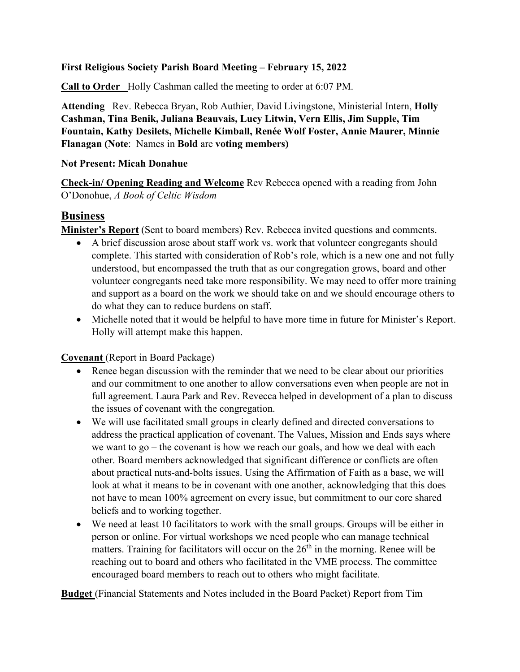#### **First Religious Society Parish Board Meeting – February 15, 2022**

**Call to Order** Holly Cashman called the meeting to order at 6:07 PM.

**Attending** Rev. Rebecca Bryan, Rob Authier, David Livingstone, Ministerial Intern, **Holly Cashman, Tina Benik, Juliana Beauvais, Lucy Litwin, Vern Ellis, Jim Supple, Tim Fountain, Kathy Desilets, Michelle Kimball, Renée Wolf Foster, Annie Maurer, Minnie Flanagan (Note**: Names in **Bold** are **voting members)**

#### **Not Present: Micah Donahue**

**Check-in/ Opening Reading and Welcome** Rev Rebecca opened with a reading from John O'Donohue, *A Book of Celtic Wisdom*

## **Business**

**Minister's Report** (Sent to board members) Rev. Rebecca invited questions and comments.

- A brief discussion arose about staff work vs. work that volunteer congregants should complete. This started with consideration of Rob's role, which is a new one and not fully understood, but encompassed the truth that as our congregation grows, board and other volunteer congregants need take more responsibility. We may need to offer more training and support as a board on the work we should take on and we should encourage others to do what they can to reduce burdens on staff.
- Michelle noted that it would be helpful to have more time in future for Minister's Report. Holly will attempt make this happen.

**Covenant** (Report in Board Package)

- Renee began discussion with the reminder that we need to be clear about our priorities and our commitment to one another to allow conversations even when people are not in full agreement. Laura Park and Rev. Revecca helped in development of a plan to discuss the issues of covenant with the congregation.
- We will use facilitated small groups in clearly defined and directed conversations to address the practical application of covenant. The Values, Mission and Ends says where we want to go – the covenant is how we reach our goals, and how we deal with each other. Board members acknowledged that significant difference or conflicts are often about practical nuts-and-bolts issues. Using the Affirmation of Faith as a base, we will look at what it means to be in covenant with one another, acknowledging that this does not have to mean 100% agreement on every issue, but commitment to our core shared beliefs and to working together.
- We need at least 10 facilitators to work with the small groups. Groups will be either in person or online. For virtual workshops we need people who can manage technical matters. Training for facilitators will occur on the  $26<sup>th</sup>$  in the morning. Renee will be reaching out to board and others who facilitated in the VME process. The committee encouraged board members to reach out to others who might facilitate.

**Budget** (Financial Statements and Notes included in the Board Packet) Report from Tim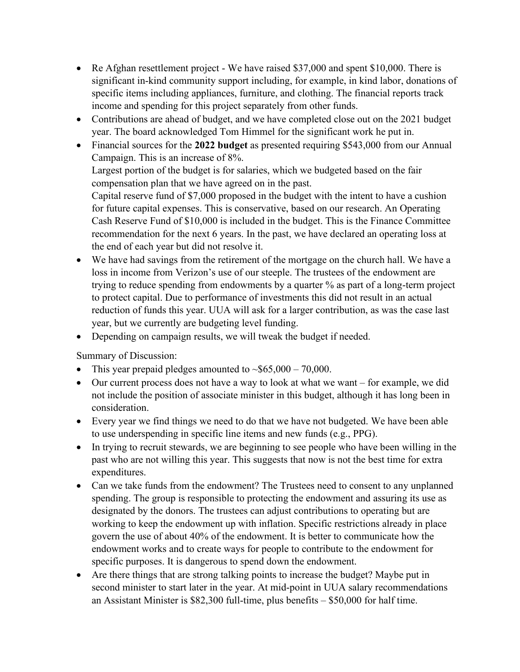- Re Afghan resettlement project We have raised \$37,000 and spent \$10,000. There is significant in-kind community support including, for example, in kind labor, donations of specific items including appliances, furniture, and clothing. The financial reports track income and spending for this project separately from other funds.
- Contributions are ahead of budget, and we have completed close out on the 2021 budget year. The board acknowledged Tom Himmel for the significant work he put in.
- Financial sources for the **2022 budget** as presented requiring \$543,000 from our Annual Campaign. This is an increase of 8%.

Largest portion of the budget is for salaries, which we budgeted based on the fair compensation plan that we have agreed on in the past.

Capital reserve fund of \$7,000 proposed in the budget with the intent to have a cushion for future capital expenses. This is conservative, based on our research. An Operating Cash Reserve Fund of \$10,000 is included in the budget. This is the Finance Committee recommendation for the next 6 years. In the past, we have declared an operating loss at the end of each year but did not resolve it.

- We have had savings from the retirement of the mortgage on the church hall. We have a loss in income from Verizon's use of our steeple. The trustees of the endowment are trying to reduce spending from endowments by a quarter % as part of a long-term project to protect capital. Due to performance of investments this did not result in an actual reduction of funds this year. UUA will ask for a larger contribution, as was the case last year, but we currently are budgeting level funding.
- Depending on campaign results, we will tweak the budget if needed.

Summary of Discussion:

- This year prepaid pledges amounted to  $\sim $65,000 70,000$ .
- Our current process does not have a way to look at what we want for example, we did not include the position of associate minister in this budget, although it has long been in consideration.
- Every year we find things we need to do that we have not budgeted. We have been able to use underspending in specific line items and new funds (e.g., PPG).
- In trying to recruit stewards, we are beginning to see people who have been willing in the past who are not willing this year. This suggests that now is not the best time for extra expenditures.
- Can we take funds from the endowment? The Trustees need to consent to any unplanned spending. The group is responsible to protecting the endowment and assuring its use as designated by the donors. The trustees can adjust contributions to operating but are working to keep the endowment up with inflation. Specific restrictions already in place govern the use of about 40% of the endowment. It is better to communicate how the endowment works and to create ways for people to contribute to the endowment for specific purposes. It is dangerous to spend down the endowment.
- Are there things that are strong talking points to increase the budget? Maybe put in second minister to start later in the year. At mid-point in UUA salary recommendations an Assistant Minister is \$82,300 full-time, plus benefits – \$50,000 for half time.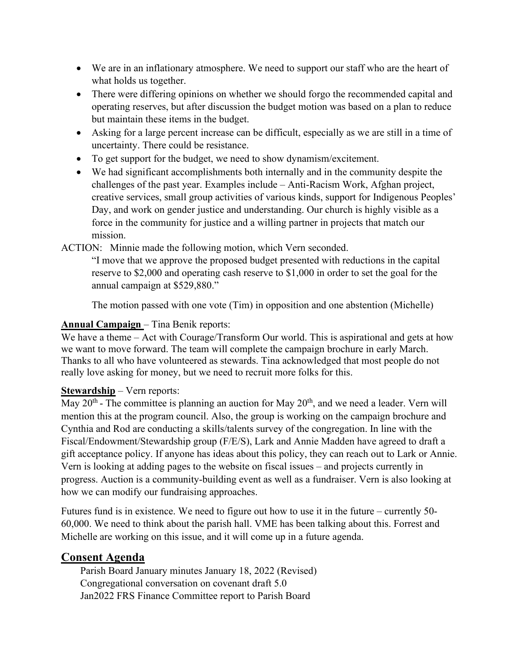- We are in an inflationary atmosphere. We need to support our staff who are the heart of what holds us together.
- There were differing opinions on whether we should forgo the recommended capital and operating reserves, but after discussion the budget motion was based on a plan to reduce but maintain these items in the budget.
- Asking for a large percent increase can be difficult, especially as we are still in a time of uncertainty. There could be resistance.
- To get support for the budget, we need to show dynamism/excitement.
- We had significant accomplishments both internally and in the community despite the challenges of the past year. Examples include – Anti-Racism Work, Afghan project, creative services, small group activities of various kinds, support for Indigenous Peoples' Day, and work on gender justice and understanding. Our church is highly visible as a force in the community for justice and a willing partner in projects that match our mission.

ACTION: Minnie made the following motion, which Vern seconded.

"I move that we approve the proposed budget presented with reductions in the capital reserve to \$2,000 and operating cash reserve to \$1,000 in order to set the goal for the annual campaign at \$529,880."

The motion passed with one vote (Tim) in opposition and one abstention (Michelle)

## **Annual Campaign** – Tina Benik reports:

We have a theme – Act with Courage/Transform Our world. This is aspirational and gets at how we want to move forward. The team will complete the campaign brochure in early March. Thanks to all who have volunteered as stewards. Tina acknowledged that most people do not really love asking for money, but we need to recruit more folks for this.

## **Stewardship** – Vern reports:

 $\overline{\text{May 20}}$ <sup>th</sup> - The committee is planning an auction for May 20<sup>th</sup>, and we need a leader. Vern will mention this at the program council. Also, the group is working on the campaign brochure and Cynthia and Rod are conducting a skills/talents survey of the congregation. In line with the Fiscal/Endowment/Stewardship group (F/E/S), Lark and Annie Madden have agreed to draft a gift acceptance policy. If anyone has ideas about this policy, they can reach out to Lark or Annie. Vern is looking at adding pages to the website on fiscal issues – and projects currently in progress. Auction is a community-building event as well as a fundraiser. Vern is also looking at how we can modify our fundraising approaches.

Futures fund is in existence. We need to figure out how to use it in the future – currently 50- 60,000. We need to think about the parish hall. VME has been talking about this. Forrest and Michelle are working on this issue, and it will come up in a future agenda.

# **Consent Agenda**

Parish Board January minutes January 18, 2022 (Revised) Congregational conversation on covenant draft 5.0 Jan2022 FRS Finance Committee report to Parish Board